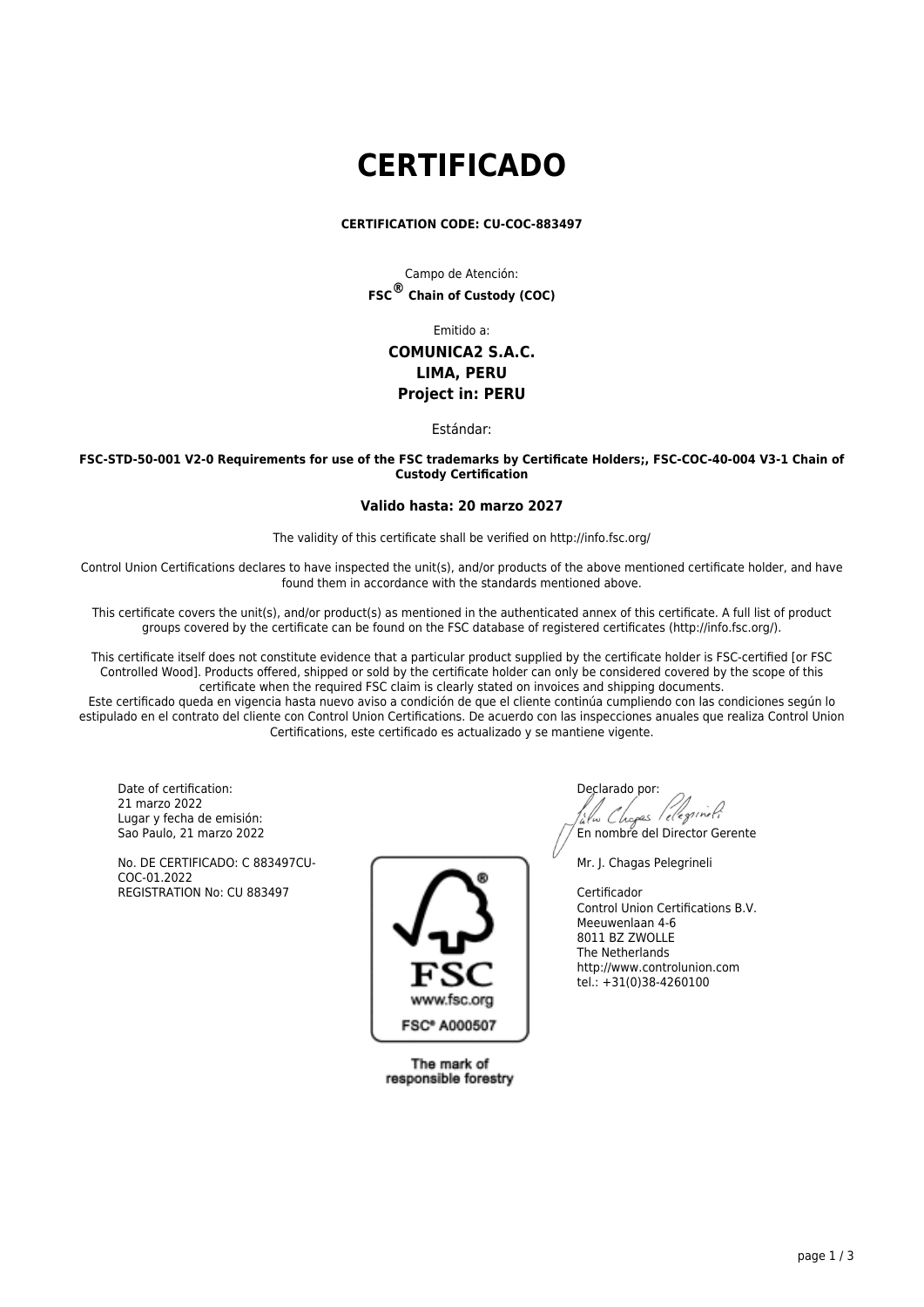# **CERTIFICADO**

### **CERTIFICATION CODE: CU-COC-883497**

Campo de Atención: **FSC® Chain of Custody (COC)**

Emitido a:

# **COMUNICA2 S.A.C. LIMA, PERU Project in: PERU**

Estándar:

**FSC-STD-50-001 V2-0 Requirements for use of the FSC trademarks by Certificate Holders;, FSC-COC-40-004 V3-1 Chain of Custody Certification**

## **Valido hasta: 20 marzo 2027**

The validity of this certificate shall be verified on http://info.fsc.org/

Control Union Certifications declares to have inspected the unit(s), and/or products of the above mentioned certificate holder, and have found them in accordance with the standards mentioned above.

This certificate covers the unit(s), and/or product(s) as mentioned in the authenticated annex of this certificate. A full list of product groups covered by the certificate can be found on the FSC database of registered certificates (http://info.fsc.org/).

This certificate itself does not constitute evidence that a particular product supplied by the certificate holder is FSC-certified [or FSC Controlled Wood]. Products offered, shipped or sold by the certificate holder can only be considered covered by the scope of this certificate when the required FSC claim is clearly stated on invoices and shipping documents.

Este certificado queda en vigencia hasta nuevo aviso a condición de que el cliente continúa cumpliendo con las condiciones según lo estipulado en el contrato del cliente con Control Union Certifications. De acuerdo con las inspecciones anuales que realiza Control Union Certifications, este certificado es actualizado y se mantiene vigente.

Date of certification: 21 marzo 2022 Lugar y fecha de emisión: Sao Paulo, 21 marzo 2022

No. DE CERTIFICADO: C 883497CU-COC-01.2022 REGISTRATION No: CU 883497



The mark of responsible forestry

Declarado por: lu Chopas l'elegrineti En nombre del Director Gerente

Mr. J. Chagas Pelegrineli

Certificador Control Union Certifications B.V. Meeuwenlaan 4-6 8011 BZ ZWOLLE The Netherlands http://www.controlunion.com tel.: +31(0)38-4260100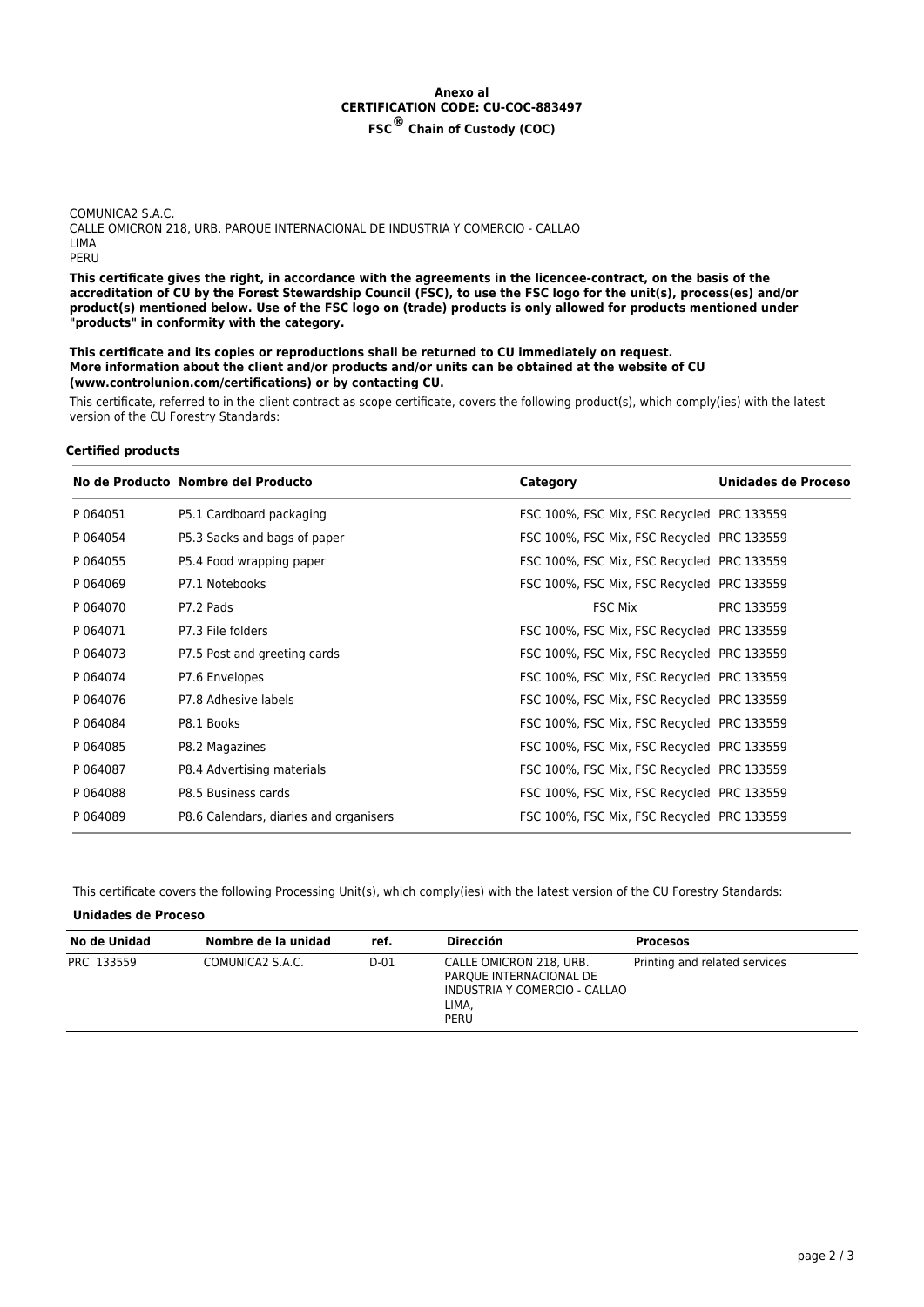# **Anexo al CERTIFICATION CODE: CU-COC-883497 FSC® Chain of Custody (COC)**

COMUNICA2 S.A.C. CALLE OMICRON 218, URB. PARQUE INTERNACIONAL DE INDUSTRIA Y COMERCIO - CALLAO LIMA PERU

**This certificate gives the right, in accordance with the agreements in the licencee-contract, on the basis of the accreditation of CU by the Forest Stewardship Council (FSC), to use the FSC logo for the unit(s), process(es) and/or product(s) mentioned below. Use of the FSC logo on (trade) products is only allowed for products mentioned under "products" in conformity with the category.**

**This certificate and its copies or reproductions shall be returned to CU immediately on request. More information about the client and/or products and/or units can be obtained at the website of CU (www.controlunion.com/certifications) or by contacting CU.**

This certificate, referred to in the client contract as scope certificate, covers the following product(s), which comply(ies) with the latest version of the CU Forestry Standards:

### **Certified products**

|          | No de Producto Nombre del Producto     | Category                                   | Unidades de Proceso |
|----------|----------------------------------------|--------------------------------------------|---------------------|
| P 064051 | P5.1 Cardboard packaging               | FSC 100%, FSC Mix, FSC Recycled PRC 133559 |                     |
| P 064054 | P5.3 Sacks and bags of paper           | FSC 100%, FSC Mix, FSC Recycled PRC 133559 |                     |
| P 064055 | P5.4 Food wrapping paper               | FSC 100%, FSC Mix, FSC Recycled PRC 133559 |                     |
| P 064069 | P7.1 Notebooks                         | FSC 100%, FSC Mix, FSC Recycled PRC 133559 |                     |
| P 064070 | P7.2 Pads                              | <b>FSC Mix</b>                             | PRC 133559          |
| P 064071 | P7.3 File folders                      | FSC 100%, FSC Mix, FSC Recycled PRC 133559 |                     |
| P 064073 | P7.5 Post and greeting cards           | FSC 100%, FSC Mix, FSC Recycled PRC 133559 |                     |
| P 064074 | P7.6 Envelopes                         | FSC 100%, FSC Mix, FSC Recycled PRC 133559 |                     |
| P 064076 | P7.8 Adhesive labels                   | FSC 100%, FSC Mix, FSC Recycled PRC 133559 |                     |
| P 064084 | P8.1 Books                             | FSC 100%, FSC Mix, FSC Recycled PRC 133559 |                     |
| P 064085 | P8.2 Magazines                         | FSC 100%, FSC Mix, FSC Recycled PRC 133559 |                     |
| P 064087 | P8.4 Advertising materials             | FSC 100%, FSC Mix, FSC Recycled PRC 133559 |                     |
| P 064088 | P8.5 Business cards                    | FSC 100%, FSC Mix, FSC Recycled PRC 133559 |                     |
| P 064089 | P8.6 Calendars, diaries and organisers | FSC 100%, FSC Mix, FSC Recycled PRC 133559 |                     |

This certificate covers the following Processing Unit(s), which comply(ies) with the latest version of the CU Forestry Standards:

### **Unidades de Proceso**

| No de Unidad | Nombre de la unidad | ref. | Dirección                                                                                            | <b>Procesos</b>               |
|--------------|---------------------|------|------------------------------------------------------------------------------------------------------|-------------------------------|
| PRC 133559   | COMUNICA2 S.A.C.    | D-01 | CALLE OMICRON 218, URB.<br>PARQUE INTERNACIONAL DE<br>INDUSTRIA Y COMERCIO - CALLAO<br>LIMA,<br>PERU | Printing and related services |